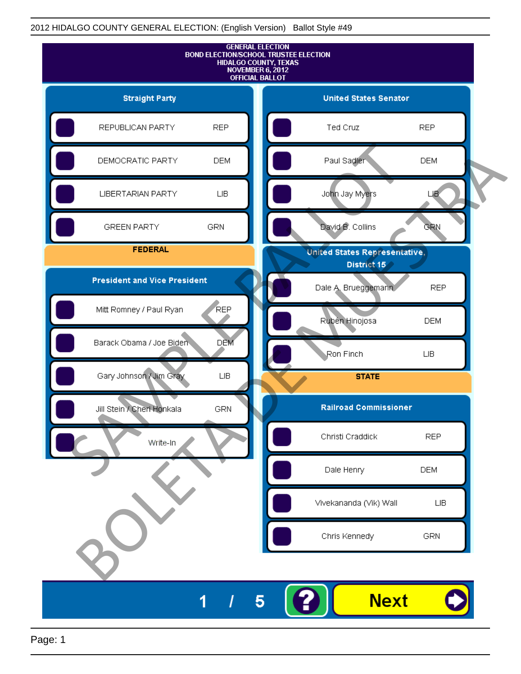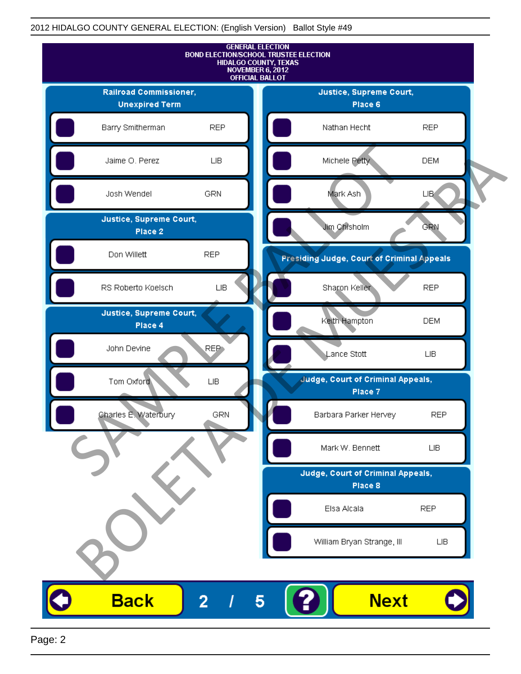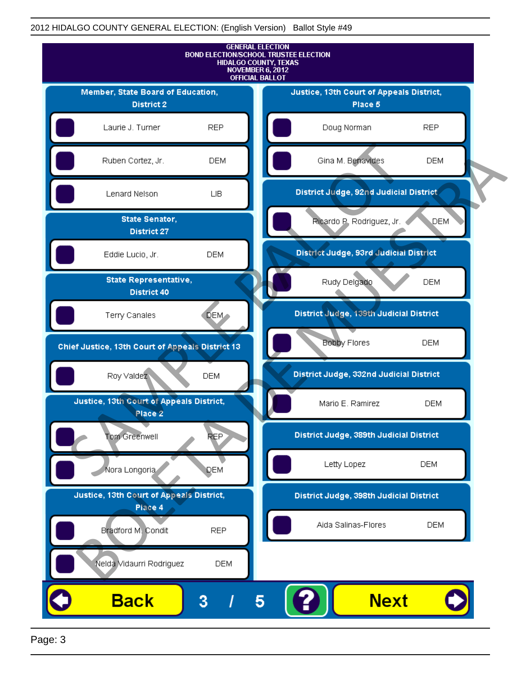

Page: 3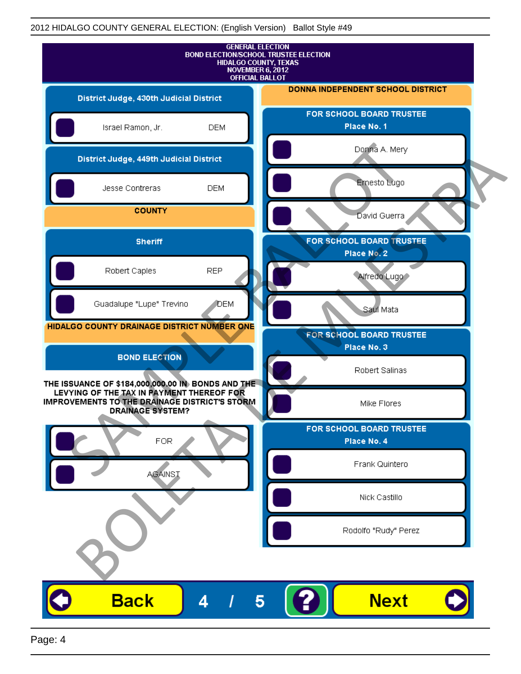| <b>GENERAL ELECTION</b><br><b>BOND ELECTION/SCHOOL TRUSTEE ELECTION</b><br>HIDALGO COUNTY, TEXAS<br>NOVEMBER 6, 2012<br><b>OFFICIAL BALLOT</b>                             |            |                                                |
|----------------------------------------------------------------------------------------------------------------------------------------------------------------------------|------------|------------------------------------------------|
| District Judge, 430th Judicial District                                                                                                                                    |            | DONNA INDEPENDENT SCHOOL DISTRICT              |
| Israel Ramon, Jr.                                                                                                                                                          | <b>DEM</b> | FOR SCHOOL BOARD TRUSTEE<br>Place No. 1        |
| District Judge, 449th Judicial District                                                                                                                                    |            | Donna A. Mery                                  |
| Jesse Contreras                                                                                                                                                            | <b>DEM</b> | Ernesto Lugo                                   |
| <b>COUNTY</b>                                                                                                                                                              |            | David Guerra                                   |
| <b>Sheriff</b>                                                                                                                                                             |            | FOR SCHOOL BOARD TRUSTEE<br>Place No. 2        |
| Robert Caples                                                                                                                                                              | <b>REP</b> | Alfredo Lugo                                   |
| Guadalupe "Lupe" Trevino                                                                                                                                                   | <b>DEM</b> | Saul Mata                                      |
| HIDALGO COUNTY DRAINAGE DISTRICT NUMBER ONE                                                                                                                                |            | <b>FOR SCHOOL BOARD TRUSTEE</b><br>Place No. 3 |
| <b>BOND ELECTION</b>                                                                                                                                                       |            | Robert Salinas                                 |
| THE ISSUANCE OF \$184,000,000.00 IN BONDS AND THE<br>LEVYING OF THE TAX IN PAYMENT THEREOF FOR<br>IMPROVEMENTS TO THE DRAINAGE DISTRICT'S STORM<br><b>DRAINAGE SYSTEM?</b> |            | Mike Flores                                    |
| <b>FOR</b>                                                                                                                                                                 |            | FOR SCHOOL BOARD TRUSTEE<br>Place No. 4        |
| <b>AGAINST</b>                                                                                                                                                             |            | Frank Quintero                                 |
|                                                                                                                                                                            |            | Nick Castillo                                  |
|                                                                                                                                                                            |            | Rodolfo "Rudy" Perez                           |
|                                                                                                                                                                            |            |                                                |
| <b>Back</b>                                                                                                                                                                | 4<br>5     | <b>Next</b>                                    |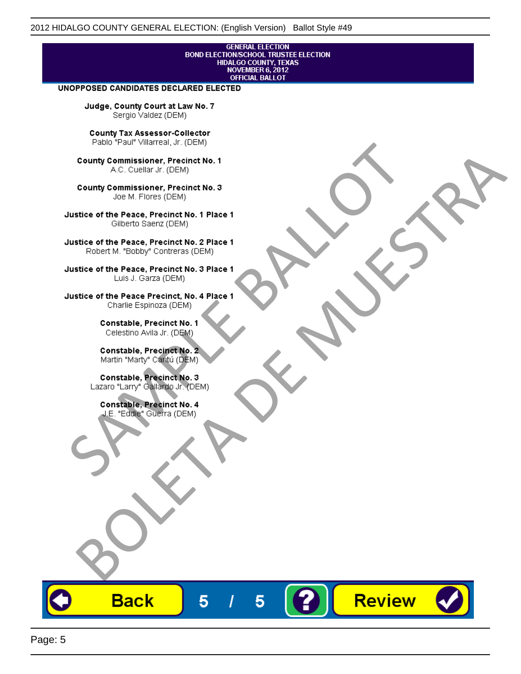# **GENERAL ELECTION** BOND ELECTION/SCHOOL TRUSTEE ELECTION<br>HIDALGO COUNTY, TEXAS<br>NOVEMBER 6, 2012<br>OFFICIAL BALLOT

Review

#### UNOPPOSED CANDIDATES DECLARED ELECTED

Judge, County Court at Law No. 7 Sergio Valdez (DEM)

County Tax Assessor-Collector

Frame The Passe, Precinct No. 1<br>
County Commissioner, Precinct No. 1<br>
SC. Cutellar Jr. (DEM)<br>
County Commissioner, Precinct No. 2<br>
Ulastice of the Peace, Precinct No. 2<br>
Ulastice of the Peace, Precinct No. 2<br>
Robert M. "Bl County Commissioner, Precinat No. 1<br>
A County Commissioner, Precinat No. 3<br>
Use of the Peace, Precinat No. 3<br>
Use of the Peace, Precinat No. 1<br>
There is a precinc No. 2<br>
There is a precinc No. 2<br>
There is a precinc No. 2<br>

**Back** 

5

5

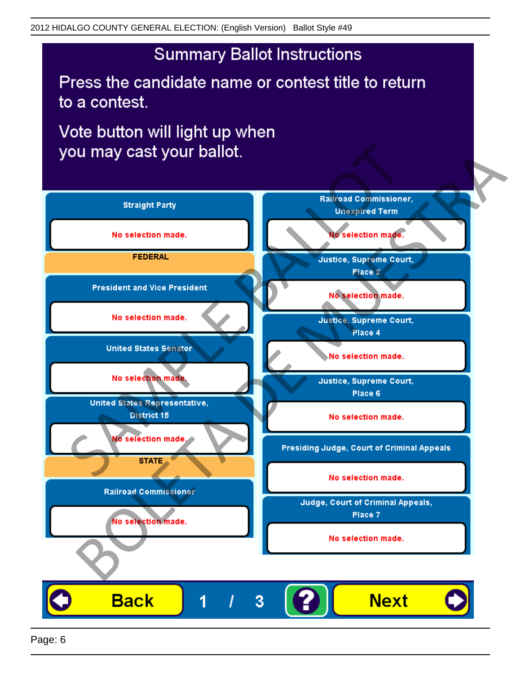## **Summary Ballot Instructions**

Press the candidate name or contest title to return to a contest.

Vote button will light up when

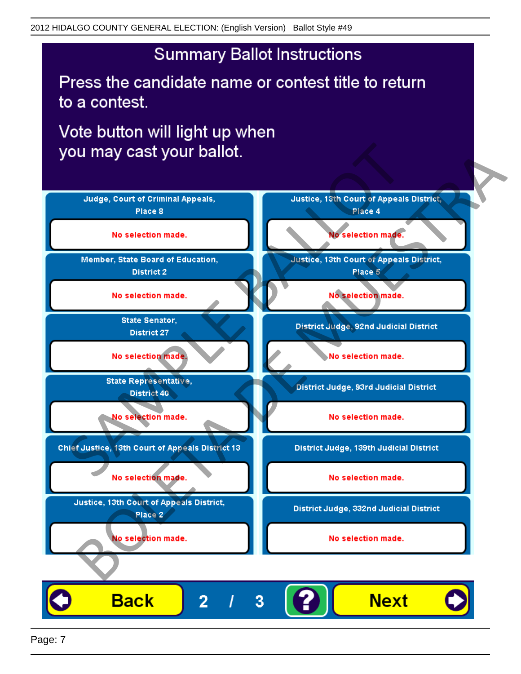## **Summary Ballot Instructions**

Press the candidate name or contest title to return to a contest.

Vote button will light up when